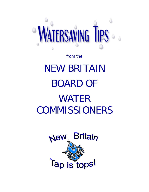

# from the NEW BRITAIN BOARD OF WATER **COMMISSIONERS**

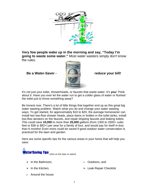

**Very few people wake up in the morning and say, "Today I'm going to waste some water."** Most water wasters simply don't know the rules.

**Be a Water-Saver - The Construction of the Saver - reduce your bill!** 



It's not just your toilet, showerheads, or faucets that waste water. It's **you**! Think about it. Have you ever let the water run to get a colder glass of water or flushed the toilet just to throw something away?

Be honest now. There's a lot of little things that together end up as this great big water wasting problem. Watch what you do and change your water wasting ways. To get started, for approximately \$10 to \$20, the average homeowner can install two low-flow shower heads, place dams or bottles in the toilet tanks, install low-flow aerators on the faucets, and repair dripping faucets and leaking toilets. This could save **10,000** to more than **25,000** gallons (from 1300 to 3300+ cubic feet or \$36 to \$92+) per year for a family of four, and would pay for itself in less than 6 months! Even more could be saved if good outdoor water conservation is practiced for the lawn and garden.

Here are some specific tips for the various areas in your home that will help you save:



- $\triangleright$  In the Bathroom.
- $\triangleright$  [Outdoors, and](#page-4-0)

 $\triangleright$  In the Kitchen,

 $\triangleright$  [Leak Repair Checklist](#page-5-0)

 $\triangleright$  Around the house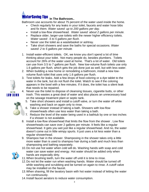<span id="page-2-0"></span>

**WaterSaving Tips** In The Bathroom...

Bathroom use accounts for about 75 percent of the water used inside the home.

- Check regularly for any leaks in your toilet, faucets and water hose bibs and fix them. *Water saved: up to 200 gallons per day.*
- Install a low-flow showerhead. *Water saved: about 2 gallons per minute.*
- Replace older, larger-use toilets with the newer higher efficiency toilets. *Water saved: .5 to 5 gallons per flush.*
- Never use the toilet as a wastebasket or ashtray.
- Take short showers and save the baths for special occasions. *Water saved: 2 to 5 gallons per minute.*
- 1. Install water-efficient toilets. OK, we know you don't spend a lot of time thinking about your toilet. Not many people do, besides plumbers. Toilets account for 26% of the water used at home. That's a lot of water. Old toilets can use from 3.5 to 7 gallons per flush. New low-volume flush toilets use only 1.6 gallons per flush, which gets the job done just as well, but with less water.
- 2. When building a new home or remodeling a bathroom, install a new lowvolume flush toilet that uses only 1.6 gallons per flush.
- 3. Test toilets for leaks. Add a few drops of food coloring or a dye tablet to the water in the tank, but do not flush the toilet. Watch to see if the coloring appears in the bowl with a few minutes. If it does, the toilet has a silent leak that needs to be repaired.



- 4. Never use the toilet to dispose of cleansing tissues, cigarette butts, or other trash. This wastes a great deal of water and also places an unnecessary load on the sewage treatment plant or septic tank.
	- 5. Take short showers and install a cutoff valve, or turn the water off while washing and back on again only to rinse.
	- 6. Take a shower instead of taking a bath. Showers with low-flow showerheads often use less water than taking a bath.
	- 7. Reduce the level of the water being used in a bathtub by one or two inches if a shower is not available.
- 8. Install a low-flow showerhead that limits the flow from the shower . Low flow showerheads can save over 2 gallons per minute. It feels like a regular showerhead. It gets you wet just like a regular showerhead. And no, the water doesn't come out in little wimpy spurts. It just uses a lot less water than a regular showerhead.
- 9. Shampoo hair in the shower. Shampooing in the shower takes only a little more water than is used to shampoo hair during a bath and much less than shampooing and bathing separately.



- 10. Do not use hot water when cold will do. Washing hands with soap and cold water can save water and energy. Hot water should be added only when hands are especially dirty.
- 11. When brushing teeth, turn the water off until it is time to rinse.
- 12. Do not let the water run when washing hands. Water should be turned off while washing and scrubbing and be turned on again to rinse. A cutoff valve may be installed on the faucet.
- 13. When shaving, fill the lavatory basin with hot water instead of letting the water run continuously.
- 14. Install faucet aerators to reduce water consumption.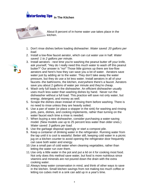#### **WaterSaving Tips** In The Kitchen

<span id="page-3-0"></span>

About 8 percent of in-home water use takes place in the kitchen.

- 1. Don't rinse dishes before loading dishwasher. *Water saved: 20 gallons per load.*
- 2. Install a low-flow faucet aerator, which can cut water use in half. *Water saved: 1 to 2 gallons per minute.*
- 3. Install aerators next time you're washing the peanut butter off your knife, ask yourself, "Hey do I really need this much water to wash off this peanut butter?" Our answer is "no!" Those little gizmos up there are low-flow aerators and here's how they can save you a lot of water. Aerators save water just by adding air to the water. They don't take away the water pressure, but they do use a lot less water. Install aerators in all of your faucets--the bathrooms, the kitchen, everywhere there's a faucet. Aerators save you about 2 gallons of water per minute and they're cheap.
- 4. Wash only full loads in the dishwasher. An efficient dishwasher usually uses much less water than washing dishes by hand. Never run the dishwasher without a full load. This practice will save not only water, but energy, detergent, and money as well.
- 5. Scrape the dishes clean instead of rinsing them before washing. There is no need to rinse unless they are heavily soiled.
- 6. Use a pan of water (or place a stopper in the sink) for washing and rinsing pots, pans, dishes, and cooking implements, rather than turning on the water faucet each time a rinse is needed.
- 7. When buying a new dishwasher, consider purchasing a water-saving model. (New models use up to 25 percent less water than older ones.) *Water saved: 3 gallons per load.*
- 8. Use the garbage disposal sparingly or start a compost pile.
- 9. Keep a container of drinking water in the refrigerator. Running water from the tap until it is cool is wasteful. Better still, keeping cold water in a picnic jug on a kitchen counter to avoid opening the refrigerator door frequently can save both water and energy.
- 10. Use a small pan of cold water when cleaning vegetables, rather than letting the water run over them.
- 11. Use only a little water in the pot and put a lid on it for cooking most food. Not only does this method save water, but food is more nutritious since vitamins and minerals are not poured down the drain with the extra cooking water.
- 12. Always keep water conservation in mind, and think of other ways to save in the kitchen. Small kitchen savings from not making too much coffee or letting ice cubes melt in a sink can add up in a year's time.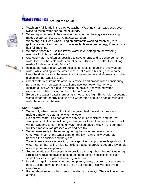### <span id="page-4-0"></span>**WaterSaving Tips** Around the house

- 1. Wash only full loads in the clothes washer. Washing small loads uses over twice as much water per pound of laundry.
- 2. When buying a new clothes washer, consider purchasing a water-saving model. *Water saved: up to 40 gallons per load.*
- 3. Wash only a full load when using an automatic washing machine(32 to 59 gallons are required per load). It wastes both water and energy to run only a half full machine.
- 4. Whenever possible, use the lowest water-level setting on the washing machine for light or partial loads.
- 5. Use cold water as often as possible to save energy and to conserve the hot water for uses that cold water cannot serve. (This is also better for clothing made of today's synthetic fabrics.)
- 6. Insulate hot water pipes where possible to avoid long delays (and wasted water) while waiting for the water to "run hot." When building a new home, keep the distance short between the hot water heater and showers and other places that hot water is used.
- 7. Check water requirements of various models and brands when considering purchasing any new appliances. Some use less water than others.
- 8. Insulate all hot water pipes to reduce the delays (and wasted water) experienced while waiting for the water to "run hot".
- 9. Be sure the water heater thermostat is not set too high. Extremely hot settings waste water and energy because the water often has to be cooled with cold water before it can be used.

#### **And Outdoors..**

- 1. Water only when needed. Look at the grass, feel the soil, or use a soil moisture meter to determine when to water.
- 2. Do not over-water. Soil can absorb only so much moisture, and the rest simply runs off. A timer will help, and either a kitchen timer or an alarm clock will do. One and a half inches of water applied once a week in the summer will keep most Texas grasses alive and healthy.
- 3. Water lawns early in the morning during the hotter summer months. Otherwise, much of the water used on the lawn can simply evaporate between the sprinkler and the grass.
- 4. To avoid excessive evaporation, use a sprinkler that produces large drops of water, rather than a fine mist. Sprinklers that send droplets out on a low angle also help control evaporation.
- 5. Set automatic sprinkler systems to provide thorough, but infrequent watering. Pressure-regulating devices should be set to design specifications. Rain shutoff devices can prevent watering in the rain.
- 6. Use drip irrigation systems for bedded plants, trees, or shrubs, or turn soaker hoses upside-down so the holes are on the bottom. This will help avoid evaporation.
- 7. Forget about watering the streets or walks or driveways. They will never grow a thing.



B